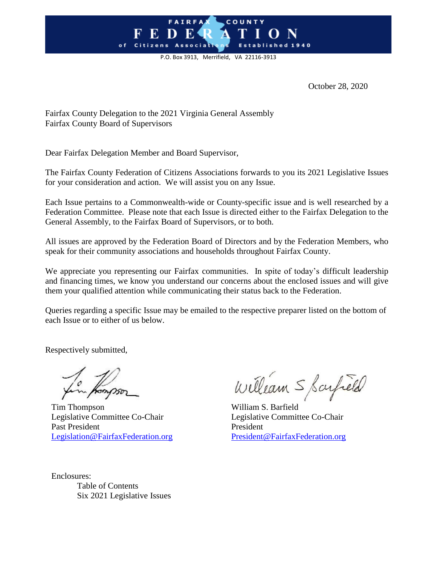### **FAIRFA** COUNTY o f

P.O. Box 3913, Merrifield, VA 22116-3913

October 28, 2020

Fairfax County Delegation to the 2021 Virginia General Assembly Fairfax County Board of Supervisors

Dear Fairfax Delegation Member and Board Supervisor,

The Fairfax County Federation of Citizens Associations forwards to you its 2021 Legislative Issues for your consideration and action. We will assist you on any Issue.

Each Issue pertains to a Commonwealth-wide or County-specific issue and is well researched by a Federation Committee. Please note that each Issue is directed either to the Fairfax Delegation to the General Assembly, to the Fairfax Board of Supervisors, or to both.

All issues are approved by the Federation Board of Directors and by the Federation Members, who speak for their community associations and households throughout Fairfax County.

We appreciate you representing our Fairfax communities. In spite of today's difficult leadership and financing times, we know you understand our concerns about the enclosed issues and will give them your qualified attention while communicating their status back to the Federation.

Queries regarding a specific Issue may be emailed to the respective preparer listed on the bottom of each Issue or to either of us below.

Respectively submitted,

Tim Thompson William S. Barfield Legislative Committee Co-Chair Legislative Committee Co-Chair Past President President [Legislation@FairfaxFederation.org](mailto:Legislation@FairfaxFederation.org) [President@FairfaxFederation.org](mailto:President@FairfaxFederation.org)

William S Sarfield

Enclosures: Table of Contents Six 2021 Legislative Issues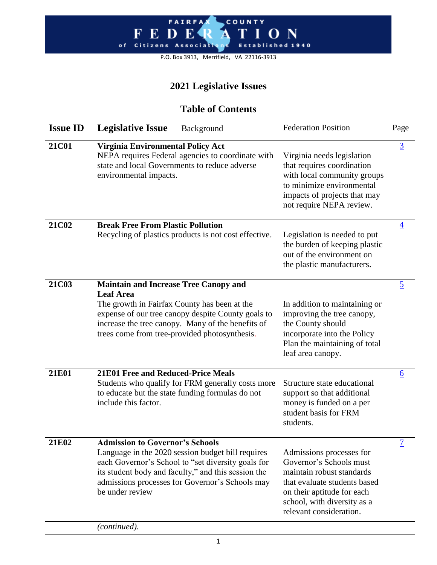#### **FAIRFA** COUNTY O N  $\mathbf{F}$  $\mathbf{E}$ D R shed 1940  $o f$ Citizens Associat E<sub>s</sub>

P.O. Box 3913, Merrifield, VA 22116-3913

## **2021 Legislative Issues**

### **Table of Contents**

| <b>Issue ID</b> | <b>Legislative Issue</b><br>Background                                                                                                                                                                                                                                         | <b>Federation Position</b>                                                                                                                                                                               | Page            |
|-----------------|--------------------------------------------------------------------------------------------------------------------------------------------------------------------------------------------------------------------------------------------------------------------------------|----------------------------------------------------------------------------------------------------------------------------------------------------------------------------------------------------------|-----------------|
| <b>21C01</b>    | Virginia Environmental Policy Act<br>NEPA requires Federal agencies to coordinate with<br>state and local Governments to reduce adverse<br>environmental impacts.                                                                                                              | Virginia needs legislation<br>that requires coordination<br>with local community groups<br>to minimize environmental<br>impacts of projects that may<br>not require NEPA review.                         | $\overline{3}$  |
| 21C02           | <b>Break Free From Plastic Pollution</b><br>Recycling of plastics products is not cost effective.                                                                                                                                                                              | Legislation is needed to put<br>the burden of keeping plastic<br>out of the environment on<br>the plastic manufacturers.                                                                                 | $\overline{4}$  |
| 21C03           | <b>Maintain and Increase Tree Canopy and</b><br><b>Leaf Area</b><br>The growth in Fairfax County has been at the<br>expense of our tree canopy despite County goals to<br>increase the tree canopy. Many of the benefits of<br>trees come from tree-provided photosynthesis.   | In addition to maintaining or<br>improving the tree canopy,<br>the County should<br>incorporate into the Policy<br>Plan the maintaining of total<br>leaf area canopy.                                    | $\overline{2}$  |
| 21E01           | <b>21E01 Free and Reduced-Price Meals</b><br>Students who qualify for FRM generally costs more<br>to educate but the state funding formulas do not<br>include this factor.                                                                                                     | Structure state educational<br>support so that additional<br>money is funded on a per<br>student basis for FRM<br>students.                                                                              | $\underline{6}$ |
| 21E02           | <b>Admission to Governor's Schools</b><br>Language in the 2020 session budget bill requires<br>each Governor's School to "set diversity goals for<br>its student body and faculty," and this session the<br>admissions processes for Governor's Schools may<br>be under review | Admissions processes for<br>Governor's Schools must<br>maintain robust standards<br>that evaluate students based<br>on their aptitude for each<br>school, with diversity as a<br>relevant consideration. | $\overline{1}$  |
|                 | (continued).                                                                                                                                                                                                                                                                   |                                                                                                                                                                                                          |                 |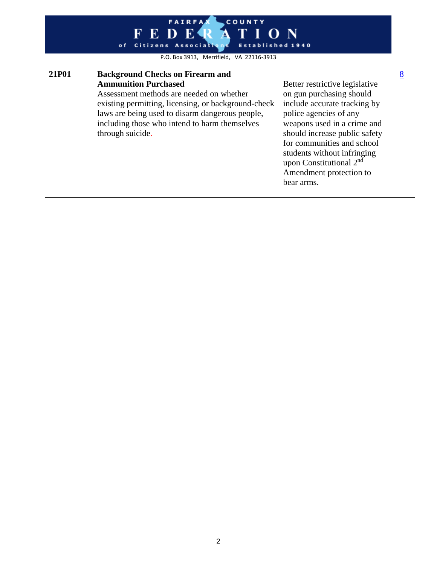#### COUNTY **FAIRFA FED** Æ  $O N$ Established 1940 of Citizens Associat

P.O. Box 3913, Merrifield, VA 22116-3913

#### **21P01 Background Checks on Firearm and Ammunition Purchased**

Assessment methods are needed on whether existing permitting, licensing, or background-check laws are being used to disarm dangerous people, including those who intend to harm themselves through suicide.

Better restrictive legislative on gun purchasing should include accurate tracking by police agencies of any weapons used in a crime and should increase public safety for communities and school students without infringing upon Constitutional 2<sup>nd</sup> Amendment protection to bear arms.

[8](#page-8-0)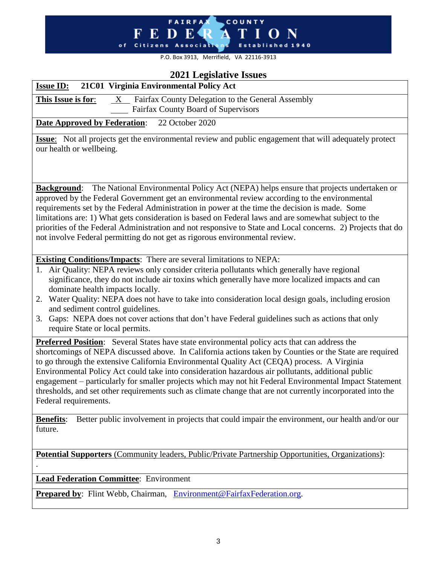#### FAIRFAX COUNTY  $\mathbf T$ I O N И. Established 1940

P.O. Box 3913, Merrifield, VA 22116-3913

#### **2021 Legislative Issues**

<span id="page-3-0"></span>

| 2021 Legislative Issues                                                                                                                                                                                                                                                                                                                                                                                                                                                                                                                                                                                                                                        |  |  |
|----------------------------------------------------------------------------------------------------------------------------------------------------------------------------------------------------------------------------------------------------------------------------------------------------------------------------------------------------------------------------------------------------------------------------------------------------------------------------------------------------------------------------------------------------------------------------------------------------------------------------------------------------------------|--|--|
| <b>Issue ID:</b><br>21C01 Virginia Environmental Policy Act                                                                                                                                                                                                                                                                                                                                                                                                                                                                                                                                                                                                    |  |  |
| X Fairfax County Delegation to the General Assembly<br>This Issue is for:                                                                                                                                                                                                                                                                                                                                                                                                                                                                                                                                                                                      |  |  |
| Fairfax County Board of Supervisors                                                                                                                                                                                                                                                                                                                                                                                                                                                                                                                                                                                                                            |  |  |
| <b>Date Approved by Federation:</b><br>22 October 2020                                                                                                                                                                                                                                                                                                                                                                                                                                                                                                                                                                                                         |  |  |
| <b>Issue:</b> Not all projects get the environmental review and public engagement that will adequately protect<br>our health or wellbeing.                                                                                                                                                                                                                                                                                                                                                                                                                                                                                                                     |  |  |
| The National Environmental Policy Act (NEPA) helps ensure that projects undertaken or<br><b>Background:</b><br>approved by the Federal Government get an environmental review according to the environmental<br>requirements set by the Federal Administration in power at the time the decision is made. Some<br>limitations are: 1) What gets consideration is based on Federal laws and are somewhat subject to the<br>priorities of the Federal Administration and not responsive to State and Local concerns. 2) Projects that do<br>not involve Federal permitting do not get as rigorous environmental review.                                          |  |  |
| <b>Existing Conditions/Impacts:</b> There are several limitations to NEPA:<br>1. Air Quality: NEPA reviews only consider criteria pollutants which generally have regional<br>significance, they do not include air toxins which generally have more localized impacts and can<br>dominate health impacts locally.<br>2. Water Quality: NEPA does not have to take into consideration local design goals, including erosion<br>and sediment control guidelines.<br>Gaps: NEPA does not cover actions that don't have Federal guidelines such as actions that only<br>3.<br>require State or local permits.                                                     |  |  |
| Preferred Position: Several States have state environmental policy acts that can address the<br>shortcomings of NEPA discussed above. In California actions taken by Counties or the State are required<br>to go through the extensive California Environmental Quality Act (CEQA) process. A Virginia<br>Environmental Policy Act could take into consideration hazardous air pollutants, additional public<br>engagement - particularly for smaller projects which may not hit Federal Environmental Impact Statement<br>thresholds, and set other requirements such as climate change that are not currently incorporated into the<br>Federal requirements. |  |  |
| Better public involvement in projects that could impair the environment, our health and/or our<br><b>Benefits:</b><br>future.                                                                                                                                                                                                                                                                                                                                                                                                                                                                                                                                  |  |  |
| Potential Supporters (Community leaders, Public/Private Partnership Opportunities, Organizations):                                                                                                                                                                                                                                                                                                                                                                                                                                                                                                                                                             |  |  |
| <b>Lead Federation Committee:</b> Environment                                                                                                                                                                                                                                                                                                                                                                                                                                                                                                                                                                                                                  |  |  |
| Prepared by: Flint Webb, Chairman, Environment@FairfaxFederation.org.                                                                                                                                                                                                                                                                                                                                                                                                                                                                                                                                                                                          |  |  |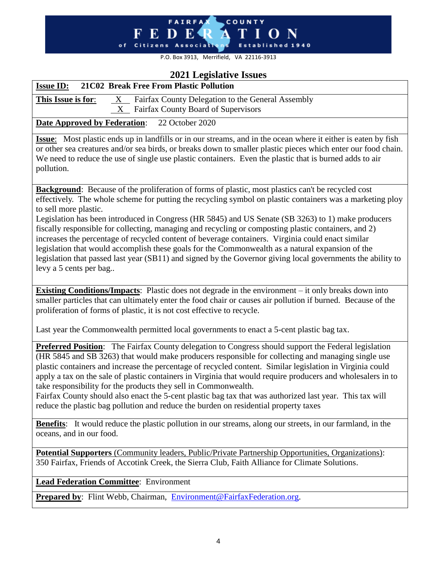## FAIRFAX COUNTY I O N Established 1940

P.O. Box 3913, Merrifield, VA 22116-3913

### **2021 Legislative Issues**

<span id="page-4-0"></span>

| 2021 Legislative Issues<br><b>Issue ID:</b><br>21C02 Break Free From Plastic Pollution                                                                                                                                                                                                                                                                                                                                                                                                                                                                                                                                                                                                                                                                                                                          |
|-----------------------------------------------------------------------------------------------------------------------------------------------------------------------------------------------------------------------------------------------------------------------------------------------------------------------------------------------------------------------------------------------------------------------------------------------------------------------------------------------------------------------------------------------------------------------------------------------------------------------------------------------------------------------------------------------------------------------------------------------------------------------------------------------------------------|
|                                                                                                                                                                                                                                                                                                                                                                                                                                                                                                                                                                                                                                                                                                                                                                                                                 |
| This Issue is for:<br>Fairfax County Delegation to the General Assembly<br>$\boldsymbol{\mathrm{X}}$<br>Fairfax County Board of Supervisors<br>X                                                                                                                                                                                                                                                                                                                                                                                                                                                                                                                                                                                                                                                                |
|                                                                                                                                                                                                                                                                                                                                                                                                                                                                                                                                                                                                                                                                                                                                                                                                                 |
| <b>Date Approved by Federation:</b><br>22 October 2020                                                                                                                                                                                                                                                                                                                                                                                                                                                                                                                                                                                                                                                                                                                                                          |
| <b>Issue:</b> Most plastic ends up in landfills or in our streams, and in the ocean where it either is eaten by fish<br>or other sea creatures and/or sea birds, or breaks down to smaller plastic pieces which enter our food chain.<br>We need to reduce the use of single use plastic containers. Even the plastic that is burned adds to air<br>pollution.                                                                                                                                                                                                                                                                                                                                                                                                                                                  |
| <b>Background:</b> Because of the proliferation of forms of plastic, most plastics can't be recycled cost<br>effectively. The whole scheme for putting the recycling symbol on plastic containers was a marketing ploy<br>to sell more plastic.<br>Legislation has been introduced in Congress (HR 5845) and US Senate (SB 3263) to 1) make producers<br>fiscally responsible for collecting, managing and recycling or composting plastic containers, and 2)<br>increases the percentage of recycled content of beverage containers. Virginia could enact similar<br>legislation that would accomplish these goals for the Commonwealth as a natural expansion of the<br>legislation that passed last year (SB11) and signed by the Governor giving local governments the ability to<br>levy a 5 cents per bag |
| <b>Existing Conditions/Impacts:</b> Plastic does not degrade in the environment – it only breaks down into<br>smaller particles that can ultimately enter the food chair or causes air pollution if burned. Because of the<br>proliferation of forms of plastic, it is not cost effective to recycle.                                                                                                                                                                                                                                                                                                                                                                                                                                                                                                           |
| Last year the Commonwealth permitted local governments to enact a 5-cent plastic bag tax.                                                                                                                                                                                                                                                                                                                                                                                                                                                                                                                                                                                                                                                                                                                       |
| Preferred Position: The Fairfax County delegation to Congress should support the Federal legislation<br>(HR 5845 and SB 3263) that would make producers responsible for collecting and managing single use<br>plastic containers and increase the percentage of recycled content. Similar legislation in Virginia could<br>apply a tax on the sale of plastic containers in Virginia that would require producers and wholesalers in to<br>take responsibility for the products they sell in Commonwealth.<br>Fairfax County should also enact the 5-cent plastic bag tax that was authorized last year. This tax will<br>reduce the plastic bag pollution and reduce the burden on residential property taxes                                                                                                  |
| <b>Benefits:</b> It would reduce the plastic pollution in our streams, along our streets, in our farmland, in the<br>oceans, and in our food.                                                                                                                                                                                                                                                                                                                                                                                                                                                                                                                                                                                                                                                                   |
| <b>Potential Supporters</b> (Community leaders, Public/Private Partnership Opportunities, Organizations):                                                                                                                                                                                                                                                                                                                                                                                                                                                                                                                                                                                                                                                                                                       |
| 350 Fairfax, Friends of Accotink Creek, the Sierra Club, Faith Alliance for Climate Solutions.                                                                                                                                                                                                                                                                                                                                                                                                                                                                                                                                                                                                                                                                                                                  |
| <b>Lead Federation Committee:</b> Environment                                                                                                                                                                                                                                                                                                                                                                                                                                                                                                                                                                                                                                                                                                                                                                   |
| <b>Prepared by:</b> Flint Webb, Chairman, Environment@FairfaxFederation.org.                                                                                                                                                                                                                                                                                                                                                                                                                                                                                                                                                                                                                                                                                                                                    |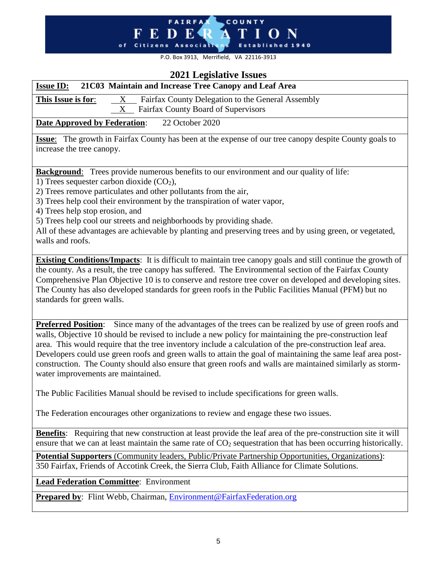#### **FAIRFA** COUNTY  ${\bf E}$ F R -N D  $\Omega$ o f Citizens Associat Established 1940

P.O. Box 3913, Merrifield, VA 22116-3913

### 2021 **Legislative** L

<span id="page-5-0"></span>

| <b><i>ZUZI</i></b> Legislative issues                                                                                                                                                                                                                                                                                                                                                                                                                                                                                                                                                                    |  |  |
|----------------------------------------------------------------------------------------------------------------------------------------------------------------------------------------------------------------------------------------------------------------------------------------------------------------------------------------------------------------------------------------------------------------------------------------------------------------------------------------------------------------------------------------------------------------------------------------------------------|--|--|
| 21C03 Maintain and Increase Tree Canopy and Leaf Area<br><b>Issue ID:</b>                                                                                                                                                                                                                                                                                                                                                                                                                                                                                                                                |  |  |
| This Issue is for:<br>Fairfax County Delegation to the General Assembly<br>$\mathbf X$                                                                                                                                                                                                                                                                                                                                                                                                                                                                                                                   |  |  |
| Fairfax County Board of Supervisors<br>X                                                                                                                                                                                                                                                                                                                                                                                                                                                                                                                                                                 |  |  |
| 22 October 2020<br><b>Date Approved by Federation:</b>                                                                                                                                                                                                                                                                                                                                                                                                                                                                                                                                                   |  |  |
| <b>Issue:</b> The growth in Fairfax County has been at the expense of our tree canopy despite County goals to<br>increase the tree canopy.                                                                                                                                                                                                                                                                                                                                                                                                                                                               |  |  |
| <b>Background:</b> Trees provide numerous benefits to our environment and our quality of life:                                                                                                                                                                                                                                                                                                                                                                                                                                                                                                           |  |  |
| 1) Trees sequester carbon dioxide $(CO2)$ ,<br>2) Trees remove particulates and other pollutants from the air,                                                                                                                                                                                                                                                                                                                                                                                                                                                                                           |  |  |
| 3) Trees help cool their environment by the transpiration of water vapor,                                                                                                                                                                                                                                                                                                                                                                                                                                                                                                                                |  |  |
| 4) Trees help stop erosion, and                                                                                                                                                                                                                                                                                                                                                                                                                                                                                                                                                                          |  |  |
| 5) Trees help cool our streets and neighborhoods by providing shade.                                                                                                                                                                                                                                                                                                                                                                                                                                                                                                                                     |  |  |
| All of these advantages are achievable by planting and preserving trees and by using green, or vegetated,<br>walls and roofs.                                                                                                                                                                                                                                                                                                                                                                                                                                                                            |  |  |
|                                                                                                                                                                                                                                                                                                                                                                                                                                                                                                                                                                                                          |  |  |
| <b>Existing Conditions/Impacts:</b> It is difficult to maintain tree canopy goals and still continue the growth of<br>the county. As a result, the tree canopy has suffered. The Environmental section of the Fairfax County<br>Comprehensive Plan Objective 10 is to conserve and restore tree cover on developed and developing sites.<br>The County has also developed standards for green roofs in the Public Facilities Manual (PFM) but no<br>standards for green walls.                                                                                                                           |  |  |
| <b>Preferred Position:</b> Since many of the advantages of the trees can be realized by use of green roofs and<br>walls, Objective 10 should be revised to include a new policy for maintaining the pre-construction leaf<br>area. This would require that the tree inventory include a calculation of the pre-construction leaf area.<br>Developers could use green roofs and green walls to attain the goal of maintaining the same leaf area post-<br>construction. The County should also ensure that green roofs and walls are maintained similarly as storm-<br>water improvements are maintained. |  |  |
| The Public Facilities Manual should be revised to include specifications for green walls.                                                                                                                                                                                                                                                                                                                                                                                                                                                                                                                |  |  |
| The Federation encourages other organizations to review and engage these two issues.                                                                                                                                                                                                                                                                                                                                                                                                                                                                                                                     |  |  |

**Benefits**: Requiring that new construction at least provide the leaf area of the pre-construction site it will ensure that we can at least maintain the same rate of  $CO<sub>2</sub>$  sequestration that has been occurring historically.

**Potential Supporters** (Community leaders, Public/Private Partnership Opportunities, Organizations): 350 Fairfax, Friends of Accotink Creek, the Sierra Club, Faith Alliance for Climate Solutions.

**Lead Federation Committee**: Environment

**Prepared by**: Flint Webb, Chairman, [Environment@FairfaxFederation.org](mailto:Environment@FairfaxFederation.org)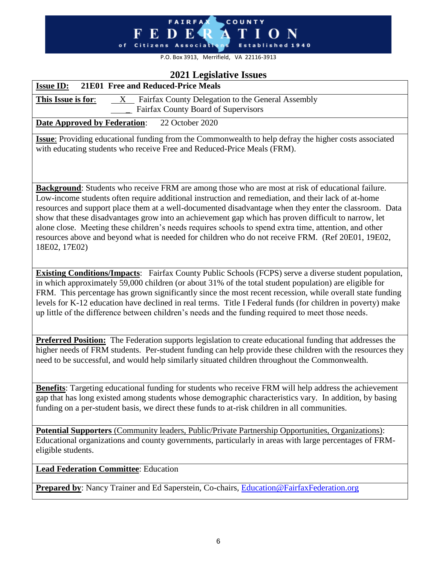#### F E D E R **COUNTY**  $\overline{I}$  O N  $\mathbf T$ A. of Citizens Association Established 1940

P.O. Box 3913, Merrifield, VA 22116-3913

#### **2021 Legislative Issues**

<span id="page-6-0"></span>

| 2021 LUGISIAU VU ISSUUS                                                                                      |
|--------------------------------------------------------------------------------------------------------------|
| 21E01 Free and Reduced-Price Meals<br><b>Issue ID:</b>                                                       |
| X Fairfax County Delegation to the General Assembly<br>This Issue is for:                                    |
| Fairfax County Board of Supervisors                                                                          |
| <b>Date Approved by Federation:</b><br>22 October 2020                                                       |
| <b>Issue:</b> Providing educational funding from the Commonwealth to help defray the higher costs associated |
| with educating students who receive Free and Reduced-Price Meals (FRM).                                      |
|                                                                                                              |
|                                                                                                              |
| Background: Students who receive FRM are among those who are most at risk of educational failure.            |
| Low-income students often require additional instruction and remediation, and their lack of at-home          |
| resources and support place them at a well-documented disadvantage when they enter the classroom. Data       |
| show that these disadvantages grow into an achievement gap which has proven difficult to narrow, let         |
| alone close. Meeting these children's needs requires schools to spend extra time, attention, and other       |
| resources above and beyond what is needed for children who do not receive FRM. (Ref 20E01, 19E02,            |
| 18E02, 17E02)                                                                                                |
|                                                                                                              |
| <b>Existing Conditions/Impacts:</b> Fairfax County Public Schools (FCPS) serve a diverse student population, |
| in which approximately 59,000 children (or about 31% of the total student population) are eligible for       |
| FRM. This percentage has grown significantly since the most recent recession, while overall state funding    |
| levels for K-12 education have declined in real terms. Title I Federal funds (for children in poverty) make  |
| up little of the difference between children's needs and the funding required to meet those needs.           |
|                                                                                                              |
| Preferred Position: The Federation supports legislation to create educational funding that addresses the     |
| higher needs of FRM students. Per-student funding can help provide these children with the resources they    |
| need to be successful, and would help similarly situated children throughout the Commonwealth.               |
|                                                                                                              |
| Benefits: Targeting educational funding for students who receive FRM will help address the achievement       |
| gap that has long existed among students whose demographic characteristics vary. In addition, by basing      |
| funding on a per-student basis, we direct these funds to at-risk children in all communities.                |
|                                                                                                              |
| <b>Potential Supporters</b> (Community leaders, Public/Private Partnership Opportunities, Organizations):    |
| Educational organizations and county governments, particularly in areas with large percentages of FRM-       |
| eligible students.                                                                                           |
| <b>Lead Federation Committee:</b> Education                                                                  |
|                                                                                                              |
| <b>Prepared by:</b> Nancy Trainer and Ed Saperstein, Co-chairs, Education@FairfaxFederation.org              |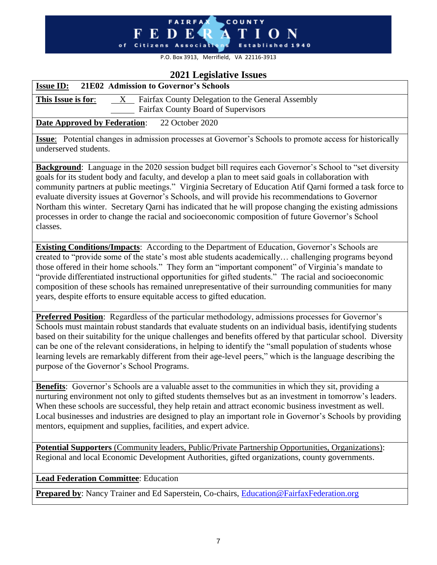# **FAIRFA** COUNTY

P.O. Box 3913, Merrifield, VA 22116-3913

#### **2021 Legislative Issues**

<span id="page-7-0"></span>

| <b>Issue ID:</b> 21E02 Admission to Governor's Schools                                                   |
|----------------------------------------------------------------------------------------------------------|
| Fairfax County Delegation to the General Assembly<br>This Issue is for:<br>X                             |
| Fairfax County Board of Supervisors                                                                      |
| 22 October 2020<br><b>Date Approved by Federation:</b>                                                   |
| Issue: Potential changes in admission processes at Governor's Schools to promote access for historically |
| underserved students.                                                                                    |

**Background**: Language in the 2020 session budget bill requires each Governor's School to "set diversity goals for its student body and faculty, and develop a plan to meet said goals in collaboration with community partners at public meetings." Virginia Secretary of Education Atif Qarni formed a task force to evaluate diversity issues at Governor's Schools, and will provide his recommendations to Governor Northam this winter. Secretary Qarni has indicated that he will propose changing the existing admissions processes in order to change the racial and socioeconomic composition of future Governor's School classes.

**Existing Conditions/Impacts**: According to the Department of Education, Governor's Schools are created to "provide some of the state's most able students academically… challenging programs beyond those offered in their home schools." They form an "important component" of Virginia's mandate to "provide differentiated instructional opportunities for gifted students." The racial and socioeconomic composition of these schools has remained unrepresentative of their surrounding communities for many years, despite efforts to ensure equitable access to gifted education.

**Preferred Position**: Regardless of the particular methodology, admissions processes for Governor's Schools must maintain robust standards that evaluate students on an individual basis, identifying students based on their suitability for the unique challenges and benefits offered by that particular school. Diversity can be one of the relevant considerations, in helping to identify the "small population of students whose learning levels are remarkably different from their age-level peers," which is the language describing the purpose of the Governor's School Programs.

**Benefits**: Governor's Schools are a valuable asset to the communities in which they sit, providing a nurturing environment not only to gifted students themselves but as an investment in tomorrow's leaders. When these schools are successful, they help retain and attract economic business investment as well. Local businesses and industries are designed to play an important role in Governor's Schools by providing mentors, equipment and supplies, facilities, and expert advice.

**Potential Supporters** (Community leaders, Public/Private Partnership Opportunities, Organizations): Regional and local Economic Development Authorities, gifted organizations, county governments.

**Lead Federation Committee**: Education

**Prepared by**: Nancy Trainer and Ed Saperstein, Co-chairs, Education@FairfaxFederation.org